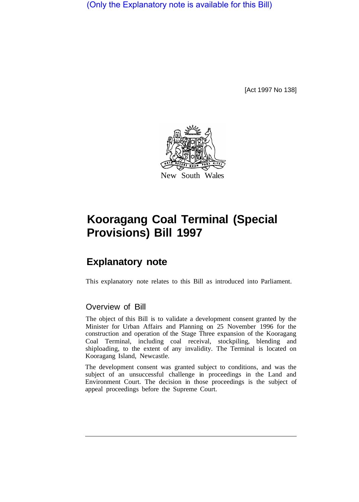(Only the Explanatory note is available for this Bill)

[Act 1997 No 138]



## **Kooragang Coal Terminal (Special Provisions) Bill 1997**

## **Explanatory note**

This explanatory note relates to this Bill as introduced into Parliament.

## Overview of Bill

The object of this Bill is to validate a development consent granted by the Minister for Urban Affairs and Planning on 25 November 1996 for the construction and operation of the Stage Three expansion of the Kooragang Coal Terminal, including coal receival, stockpiling, blending and shiploading, to the extent of any invalidity. The Terminal is located on Kooragang Island, Newcastle.

The development consent was granted subject to conditions, and was the subject of an unsuccessful challenge in proceedings in the Land and Environment Court. The decision in those proceedings is the subject of appeal proceedings before the Supreme Court.